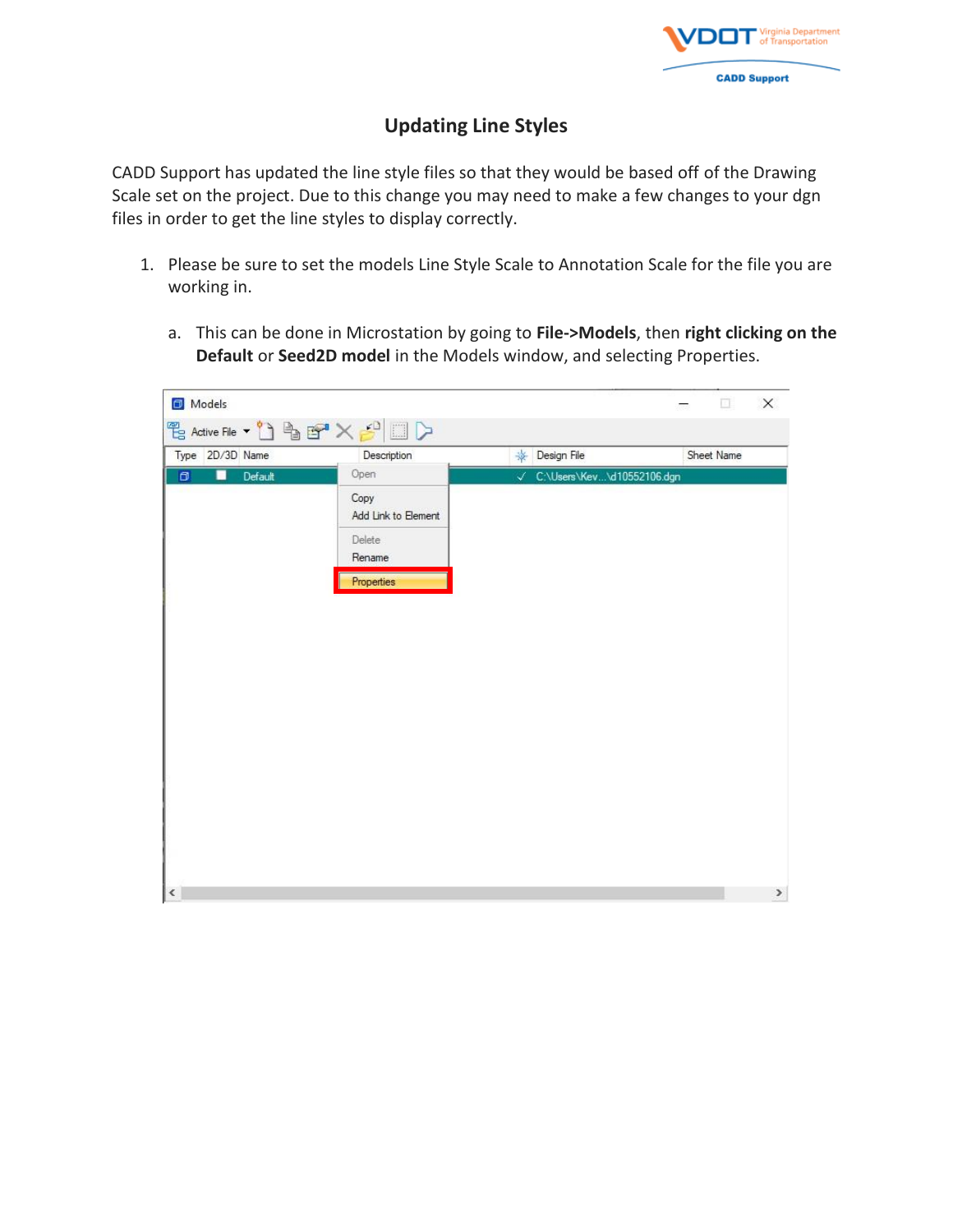

## **Updating Line Styles**

CADD Support has updated the line style files so that they would be based off of the Drawing Scale set on the project. Due to this change you may need to make a few changes to your dgn files in order to get the line styles to display correctly.

- 1. Please be sure to set the models Line Style Scale to Annotation Scale for the file you are working in.
	- a. This can be done in Microstation by going to **File->Models**, then **right clicking on the Default** or **Seed2D model** in the Models window, and selecting Properties.

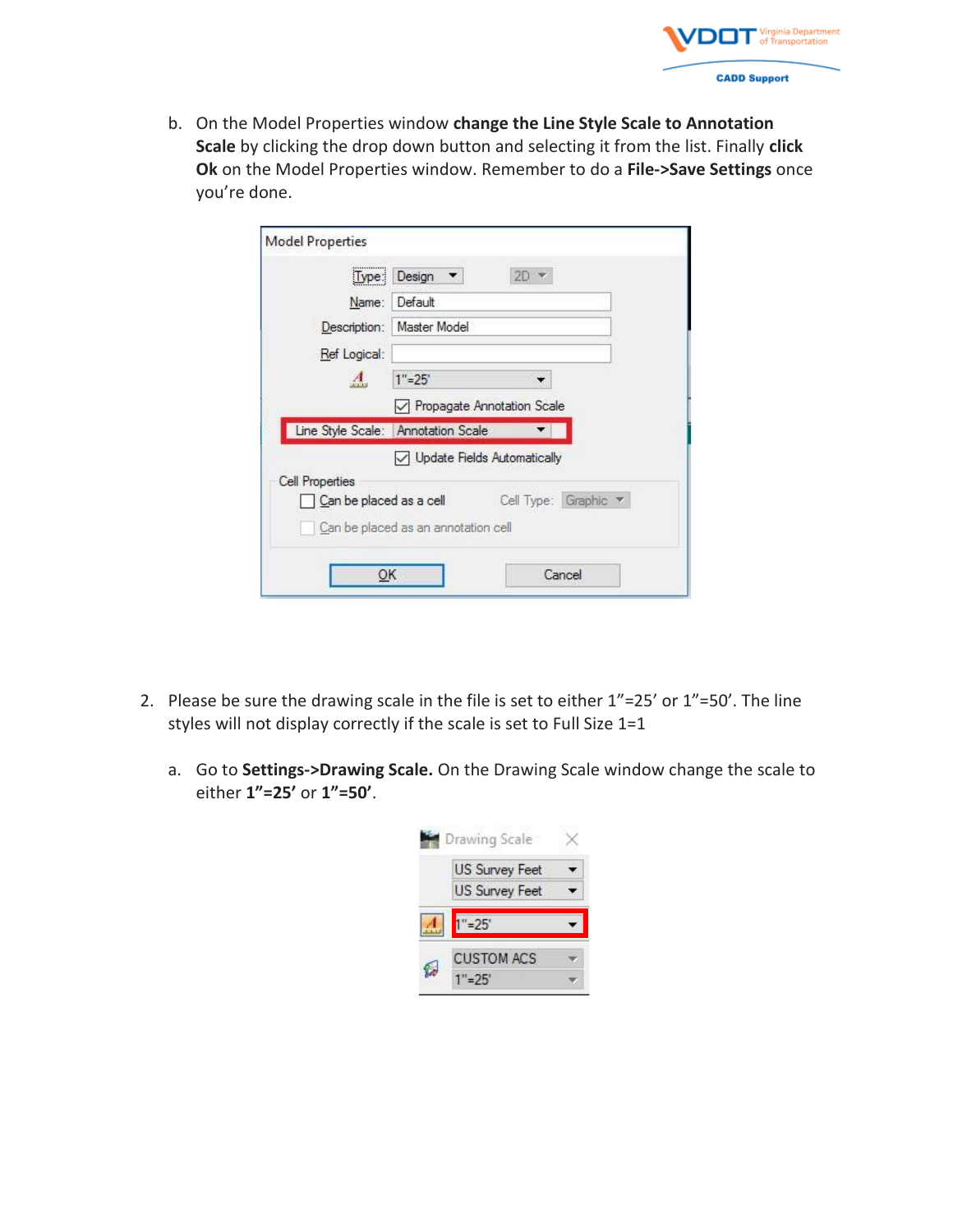

b. On the Model Properties window **change the Line Style Scale to Annotation Scale** by clicking the drop down button and selecting it from the list. Finally **click Ok** on the Model Properties window. Remember to do a **File->Save Settings** once you're done.

| Lype:<br>Name:  | Design<br>$2D -$<br>$\overline{\phantom{a}}$                       |  |
|-----------------|--------------------------------------------------------------------|--|
|                 | Default                                                            |  |
|                 | Description:   Master Model                                        |  |
| Ref Logical:    |                                                                    |  |
| $\mathbf{A}$    | $1" = 25'$                                                         |  |
|                 | Propagate Annotation Scale                                         |  |
|                 | Line Style Scale: Annotation Scale                                 |  |
| Cell Properties | Update Fields Automatically                                        |  |
|                 | Cell Type: Graphic $\blacktriangledown$<br>Can be placed as a cell |  |
|                 | Can be placed as an annotation cell                                |  |

- 2. Please be sure the drawing scale in the file is set to either 1"=25' or 1"=50'. The line styles will not display correctly if the scale is set to Full Size 1=1
	- a. Go to **Settings->Drawing Scale.** On the Drawing Scale window change the scale to either **1"=25'** or **1"=50'**.

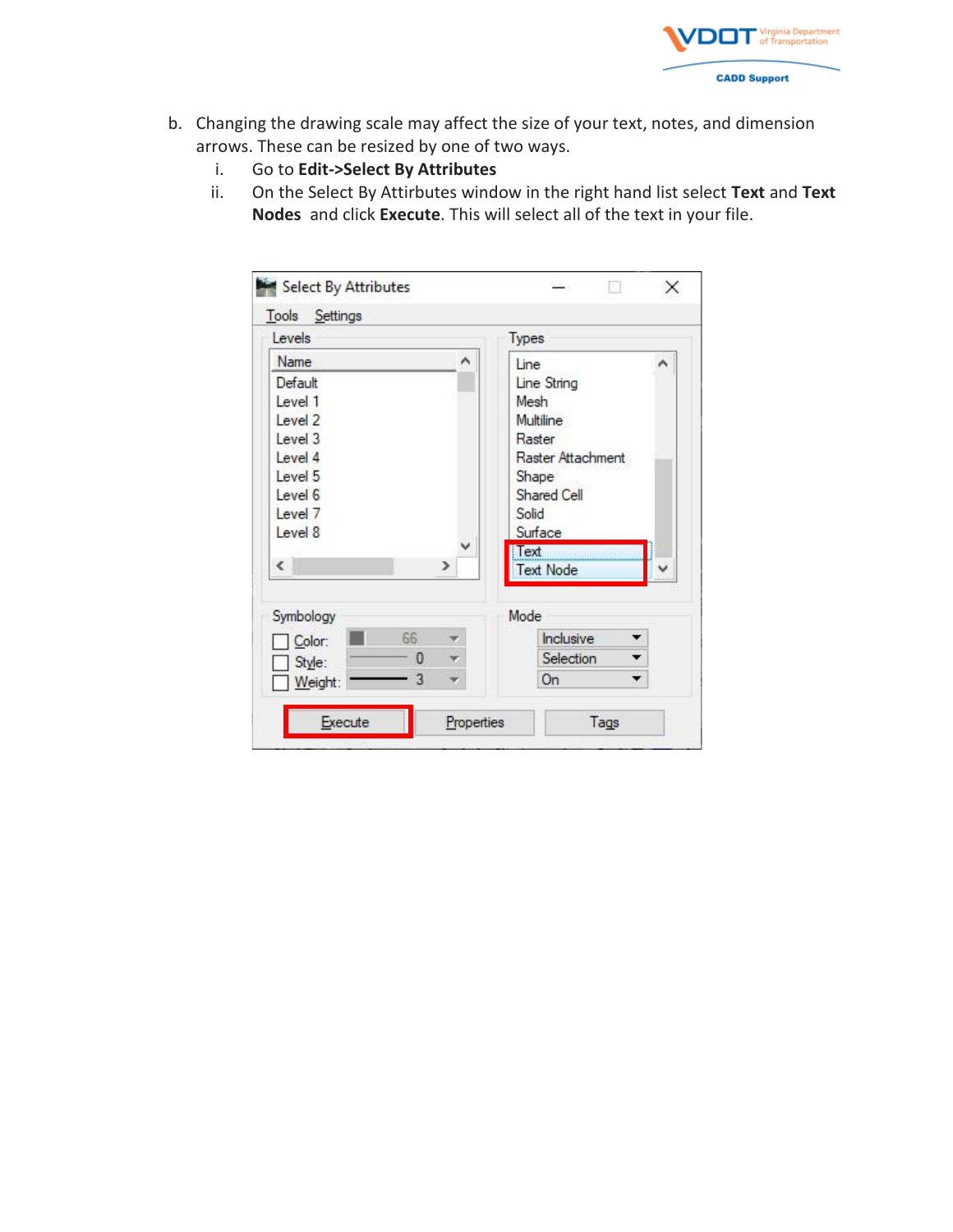

- b. Changing the drawing scale may affect the size of your text, notes, and dimension arrows. These can be resized by one of two ways.
	- i. Go to **Edit->Select By Attributes**
	- ii. On the Select By Attirbutes window in the right hand list select **Text** and **Text Nodes** and click **Execute**. This will select all of the text in your file.

| Levels     |         | Types             |   |
|------------|---------|-------------------|---|
| Name       | ۸       | Line              | ۸ |
| Default    |         | Line String       |   |
| Level 1    |         | Mesh              |   |
| Level 2    |         | Multiline         |   |
| Level 3    |         | Raster            |   |
| Level 4    |         | Raster Attachment |   |
| Level 5    |         | Shape             |   |
| Level 6    |         | Shared Cell       |   |
| Level 7    |         | Solid             |   |
| Level 8    |         | Surface           |   |
| $\epsilon$ |         | Text              |   |
|            | ⋗       | <b>Text Node</b>  |   |
| Symbology  |         | Mode              |   |
| Color:     | 66      | Inclusive         |   |
| Style:     | 0<br>Ÿ. | Selection<br>۰    |   |
| Weight:    | 3       | ۰<br>0n           |   |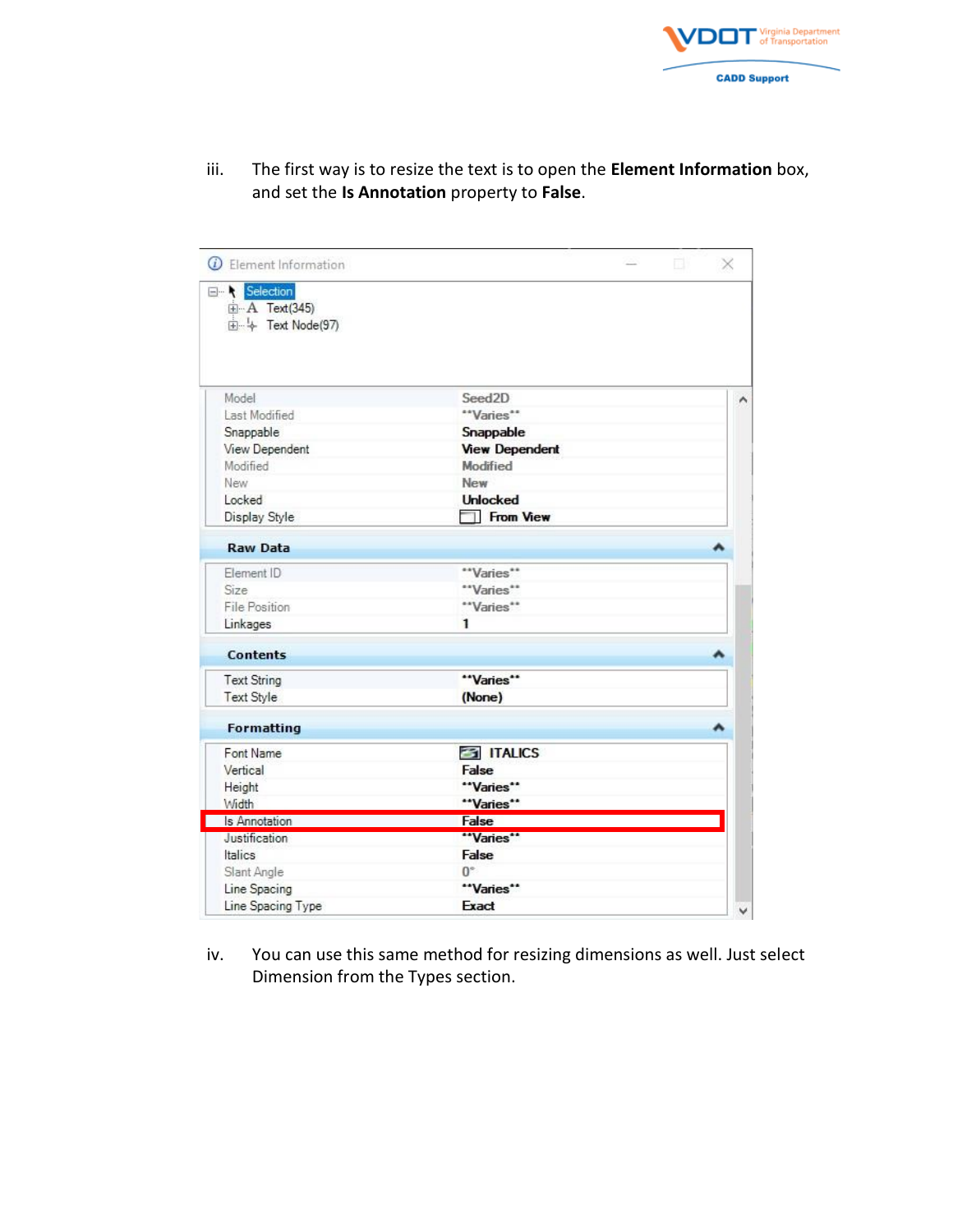

| $\overline{\omega}$ Element Information |                       | 회사 | × |
|-----------------------------------------|-----------------------|----|---|
| E- Selection                            |                       |    |   |
| 由 <b>A</b> Text(345)<br>4 Text Node(97) |                       |    |   |
|                                         |                       |    |   |
|                                         |                       |    |   |
|                                         |                       |    |   |
| Model                                   | Seed <sub>2D</sub>    |    | ۸ |
| Last Modified                           | "Varies"              |    |   |
| Snappable                               | Snappable             |    |   |
| View Dependent                          | <b>View Dependent</b> |    |   |
| Modified                                | Modified              |    |   |
| New                                     | New                   |    |   |
| Locked                                  | <b>Unlocked</b>       |    |   |
| Display Style                           | From View             |    |   |
| <b>Raw Data</b>                         |                       |    |   |
| Element ID                              | "Varies"              |    |   |
| Size                                    | "Varies"              |    |   |
| File Position                           | "Varies"              |    |   |
| Linkages                                | 1                     |    |   |
| <b>Contents</b>                         |                       |    | ۸ |
| <b>Text String</b>                      | "Varies"              |    |   |
| <b>Text Style</b>                       | (None)                |    |   |
| <b>Formatting</b>                       |                       |    | ۸ |
| Font Name                               | <b>ESI ITALICS</b>    |    |   |
| Vertical                                | False                 |    |   |
| Height                                  | "Varies"              |    |   |
| Width                                   | "Varies"              |    |   |
| Is Annotation                           | False                 |    |   |
| Justification                           | "Varies"              |    |   |
| Italics                                 | False                 |    |   |
| Slant Angle                             | $0^{\circ}$           |    |   |
| Line Spacing                            | "Varies"              |    |   |
| Line Spacing Type                       | Exact                 |    |   |

iii. The first way is to resize the text is to open the **Element Information** box, and set the **Is Annotation** property to **False**.

iv. You can use this same method for resizing dimensions as well. Just select Dimension from the Types section.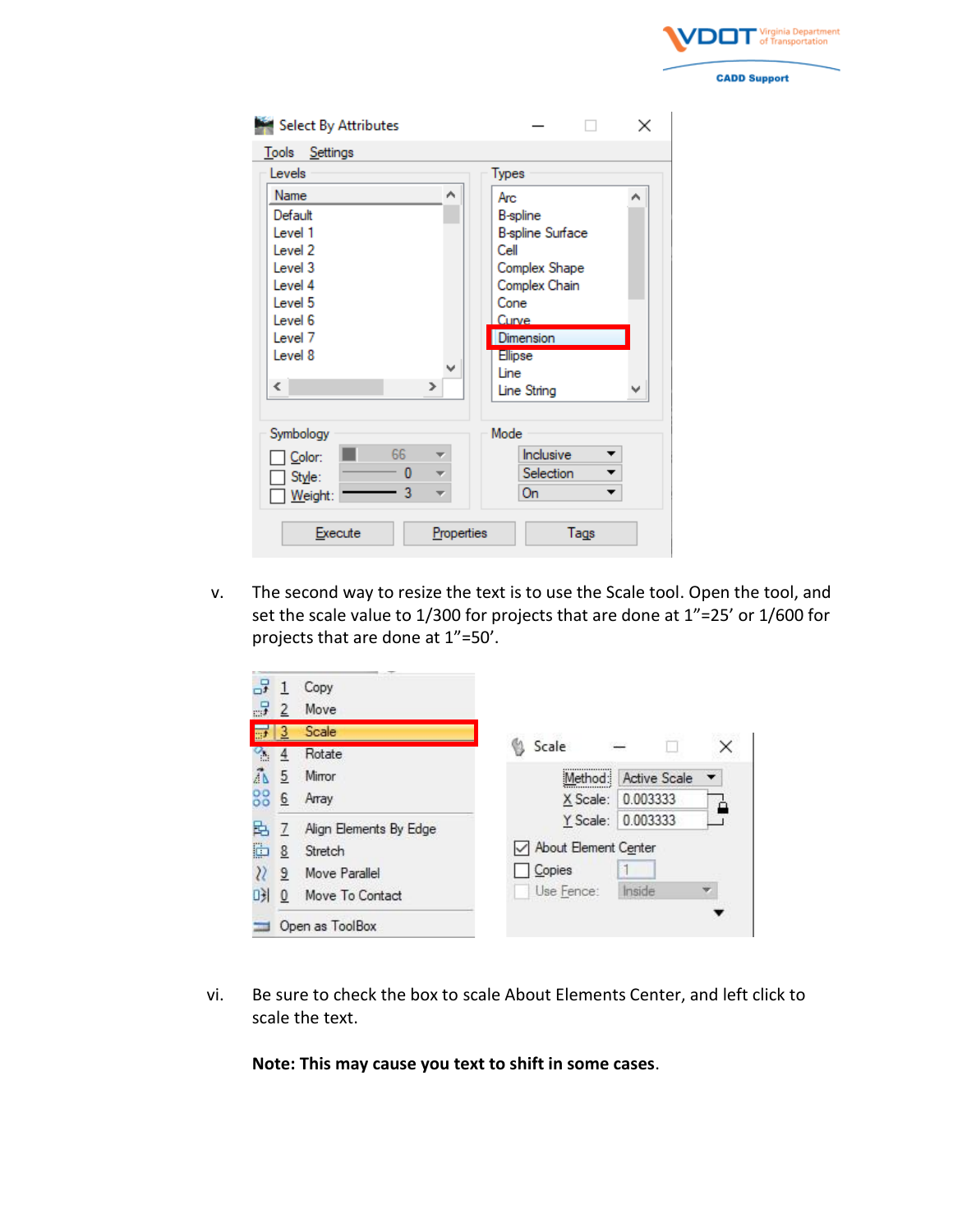

| Select By Attributes  | ×                       |
|-----------------------|-------------------------|
| Settings<br>Tools     |                         |
| Levels                | Types                   |
| Name<br>۸             | Arc<br>۸                |
| Default               | <b>B-spline</b>         |
| Level 1               | <b>B-spline Surface</b> |
| Level 2               | Cell                    |
| Level 3               | Complex Shape           |
| Level 4               | Complex Chain           |
| Level 5               | Cone                    |
| Level 6               | Curve                   |
| Level <sub>7</sub>    | Dimension               |
| Level 8               | <b>Ellipse</b>          |
| ∀                     | Line                    |
| ∢<br>$\rightarrow$    | Line String             |
|                       |                         |
| Symbology             | Mode                    |
| 66<br>Color:          | Inclusive               |
| 0<br>÷<br>Style:      | Selection               |
| 3<br>Weight:          | 0n<br>▼                 |
| Execute<br>Properties | Tags                    |

v. The second way to resize the text is to use the Scale tool. Open the tool, and set the scale value to 1/300 for projects that are done at 1"=25' or 1/600 for projects that are done at 1"=50'.

|          |                | Copy                   |                           |
|----------|----------------|------------------------|---------------------------|
| -5       |                | Move                   |                           |
| 野川       | $\overline{3}$ | Scale                  |                           |
| $\alpha$ | 4              | Rotate                 | Scale                     |
| ÃN       | 5              | Mirror                 | Active Scale<br>Method:   |
| 88       | 6              | Array                  | 0.003333<br>X Scale:<br>≏ |
| 踔        | 7              | Align Elements By Edge | 0.003333<br>Y Scale:      |
| è        | 8              | Stretch                | About Element Center      |
|          | 9              | Move Parallel          | Copies                    |
| 며        | 0              | Move To Contact        | Inside<br>Use Fence:      |
|          |                | Open as ToolBox        |                           |

vi. Be sure to check the box to scale About Elements Center, and left click to scale the text.

**Note: This may cause you text to shift in some cases**.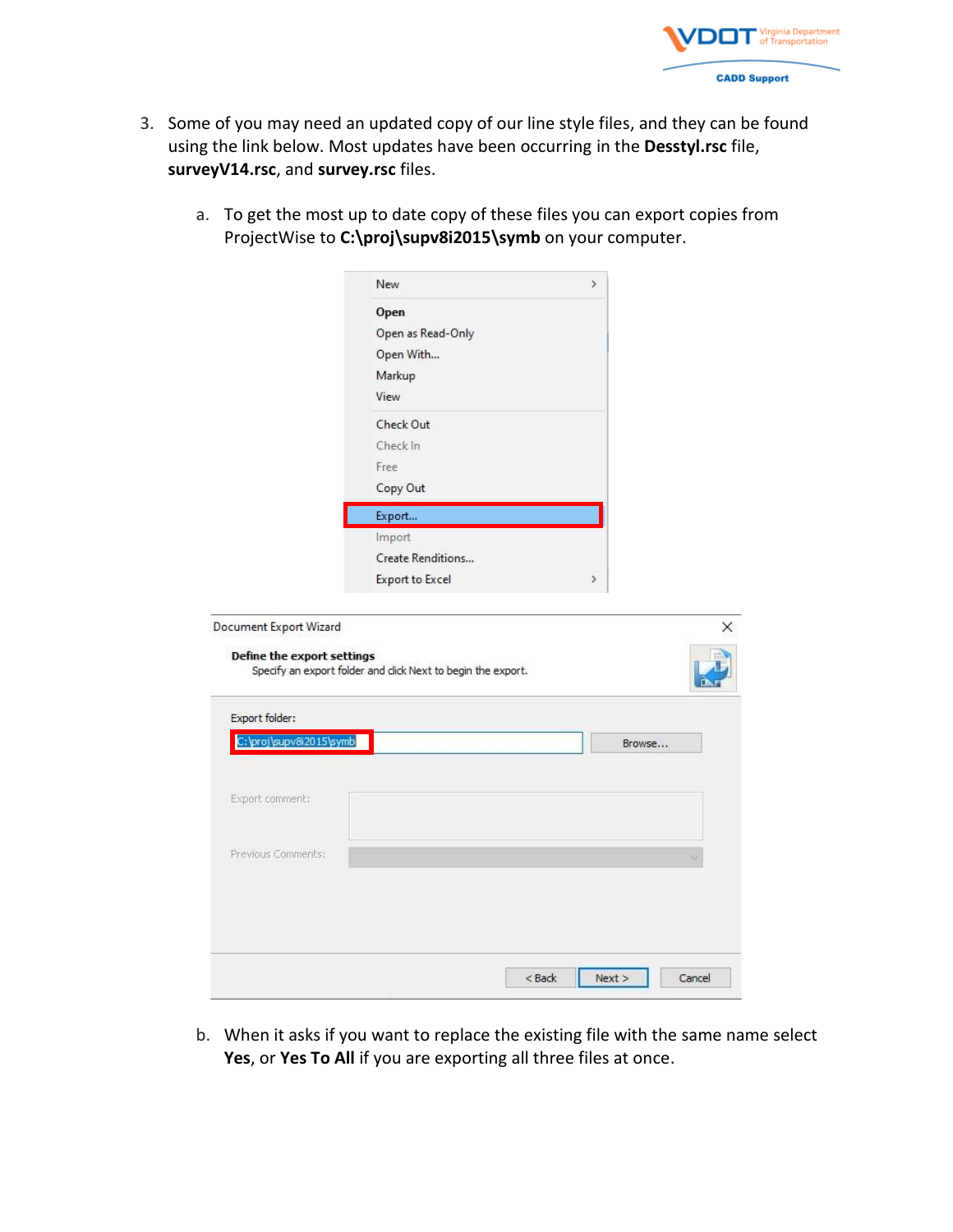

- 3. Some of you may need an updated copy of our line style files, and they can be found using the link below. Most updates have been occurring in the **Desstyl.rsc** file, **surveyV14.rsc**, and **survey.rsc** files.
	- a. To get the most up to date copy of these files you can export copies from ProjectWise to **C:\proj\supv8i2015\symb** on your computer.

|                            | New<br>Y.                                                    |  |
|----------------------------|--------------------------------------------------------------|--|
|                            | Open                                                         |  |
|                            | Open as Read-Only                                            |  |
|                            | Open With                                                    |  |
|                            | Markup                                                       |  |
|                            | View                                                         |  |
|                            | Check Out                                                    |  |
|                            | Check In                                                     |  |
|                            | Free                                                         |  |
|                            | Copy Out                                                     |  |
|                            | Export                                                       |  |
|                            | Import                                                       |  |
|                            | Create Renditions                                            |  |
|                            | <b>Export to Excel</b><br>$\rightarrow$                      |  |
|                            |                                                              |  |
| Define the export settings | Specify an export folder and click Next to begin the export. |  |
|                            |                                                              |  |
| Export folder:             |                                                              |  |
| C:\proj\supv8i2015\symb    | Browse                                                       |  |
| Export comment:            |                                                              |  |
|                            |                                                              |  |
| Previous Comments:         |                                                              |  |
|                            |                                                              |  |
|                            |                                                              |  |
|                            |                                                              |  |
|                            | Cancel<br>$<$ Back<br>Next >                                 |  |

b. When it asks if you want to replace the existing file with the same name select **Yes**, or **Yes To All** if you are exporting all three files at once.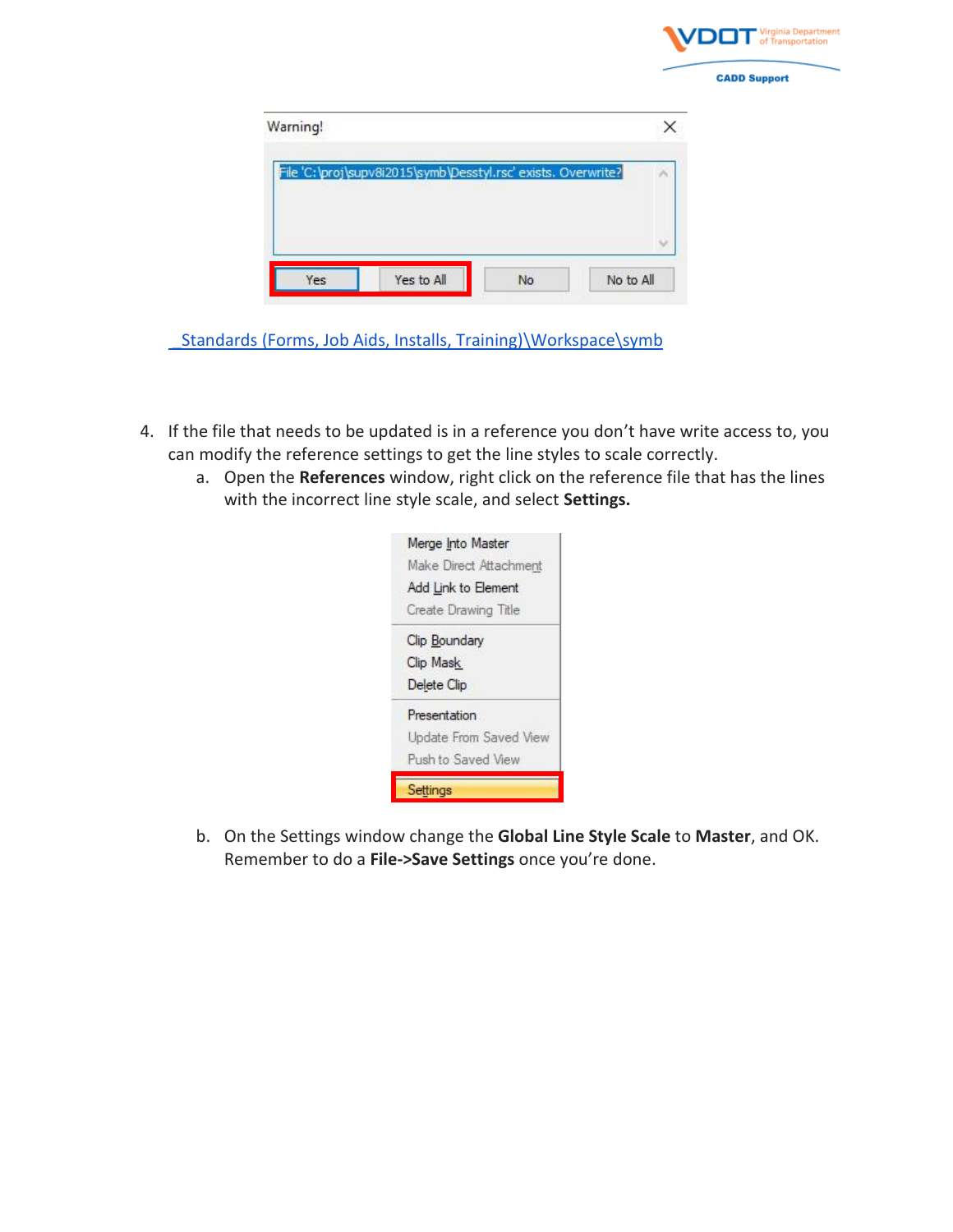

| Warning! |                                                               |  |
|----------|---------------------------------------------------------------|--|
|          | File 'C:\proj\supv8i2015\symb\Desstyl.rsc' exists. Overwrite? |  |
|          |                                                               |  |
|          |                                                               |  |

Standards (Forms, Job Aids, Installs, Training)\Workspace\symb

- 4. If the file that needs to be updated is in a reference you don't have write access to, you can modify the reference settings to get the line styles to scale correctly.
	- a. Open the **References** window, right click on the reference file that has the lines with the incorrect line style scale, and select **Settings.**

|                     | Merge Into Master      |
|---------------------|------------------------|
|                     | Make Direct Attachment |
|                     | Add Link to Element    |
|                     | Create Drawing Title   |
| Clip Boundary       |                        |
| Clip Mask           |                        |
| Delete Clip         |                        |
| <b>Presentation</b> |                        |
|                     | Update From Saved View |
|                     | Push to Saved View     |

b. On the Settings window change the **Global Line Style Scale** to **Master**, and OK. Remember to do a **File->Save Settings** once you're done.